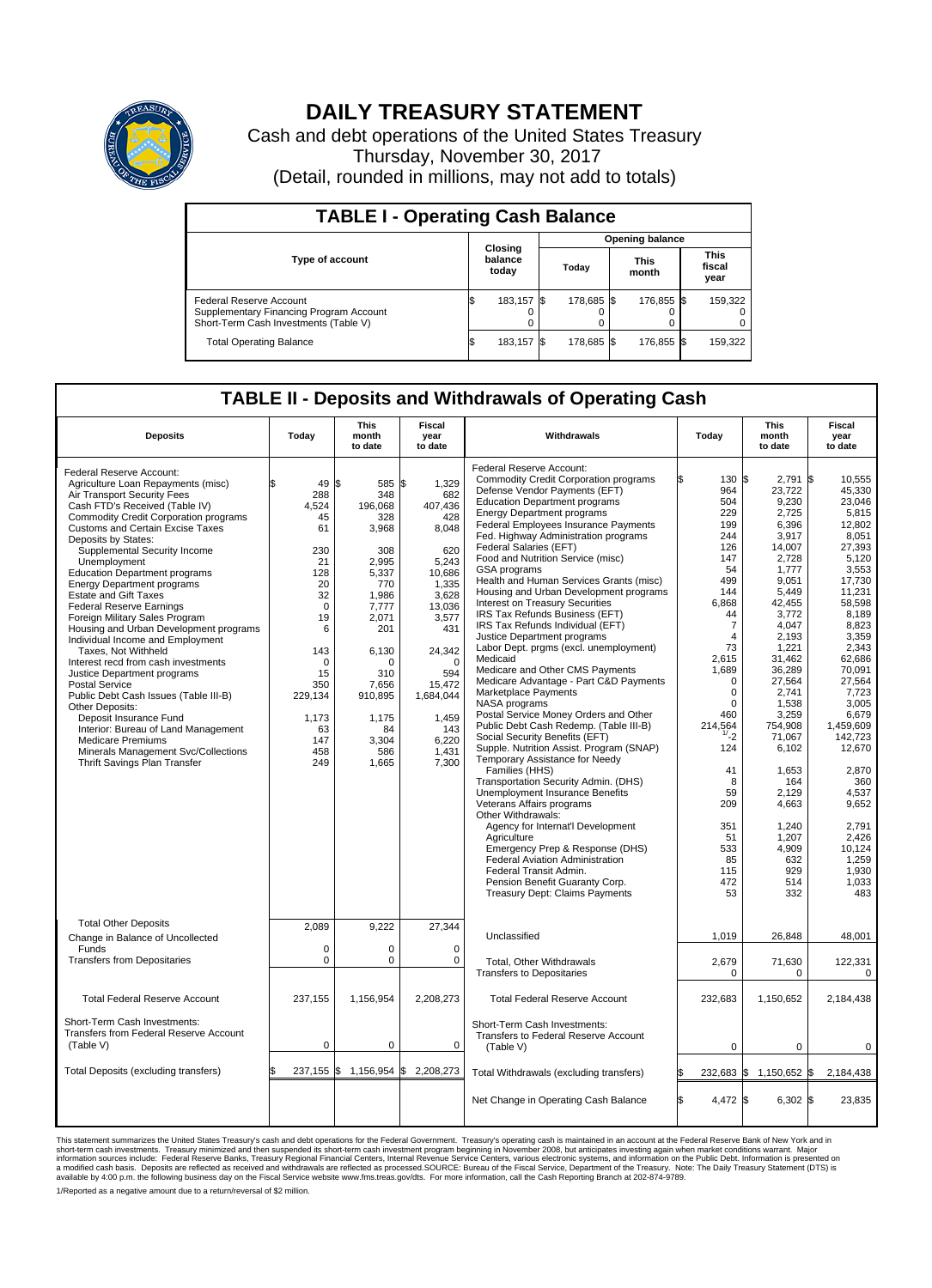

## **DAILY TREASURY STATEMENT**

Cash and debt operations of the United States Treasury Thursday, November 30, 2017 (Detail, rounded in millions, may not add to totals)

| <b>TABLE I - Operating Cash Balance</b>                                                                     |                             |            |       |                        |                      |            |                               |         |  |  |  |
|-------------------------------------------------------------------------------------------------------------|-----------------------------|------------|-------|------------------------|----------------------|------------|-------------------------------|---------|--|--|--|
|                                                                                                             |                             |            |       | <b>Opening balance</b> |                      |            |                               |         |  |  |  |
| <b>Type of account</b>                                                                                      | Closing<br>balance<br>today |            | Today |                        | <b>This</b><br>month |            | <b>This</b><br>fiscal<br>year |         |  |  |  |
| Federal Reserve Account<br>Supplementary Financing Program Account<br>Short-Term Cash Investments (Table V) |                             | 183,157 \$ |       | 178.685 \$             |                      | 176.855 \$ |                               | 159,322 |  |  |  |
| <b>Total Operating Balance</b>                                                                              | ß.                          | 183,157 \$ |       | 178,685 \$             |                      | 176,855 \$ |                               | 159,322 |  |  |  |

## **TABLE II - Deposits and Withdrawals of Operating Cash**

|                                                                                                                                                                                                                                                                                                                                                                                                                                                                                                                                                                                                                                                                                                                                                                                                                                                                                                                         |                                                                                                                                                                                  | <b>This</b>                                                                                                                                                                                               | Fiscal                                                                                                                                                                                                       |                                                                                                                                                                                                                                                                                                                                                                                                                                                                                                                                                                                                                                                                                                                                                                                                                                                                                                                                                                                                                                                                                                                                                                                                                                                                                                                                                                |                                                                                                                                                                                                                                                                                       | <b>This</b>                                                                                                                                                                                                                                                                                                                          | <b>Fiscal</b>                                                                                                                                                                                                                                                                                                                                   |
|-------------------------------------------------------------------------------------------------------------------------------------------------------------------------------------------------------------------------------------------------------------------------------------------------------------------------------------------------------------------------------------------------------------------------------------------------------------------------------------------------------------------------------------------------------------------------------------------------------------------------------------------------------------------------------------------------------------------------------------------------------------------------------------------------------------------------------------------------------------------------------------------------------------------------|----------------------------------------------------------------------------------------------------------------------------------------------------------------------------------|-----------------------------------------------------------------------------------------------------------------------------------------------------------------------------------------------------------|--------------------------------------------------------------------------------------------------------------------------------------------------------------------------------------------------------------|----------------------------------------------------------------------------------------------------------------------------------------------------------------------------------------------------------------------------------------------------------------------------------------------------------------------------------------------------------------------------------------------------------------------------------------------------------------------------------------------------------------------------------------------------------------------------------------------------------------------------------------------------------------------------------------------------------------------------------------------------------------------------------------------------------------------------------------------------------------------------------------------------------------------------------------------------------------------------------------------------------------------------------------------------------------------------------------------------------------------------------------------------------------------------------------------------------------------------------------------------------------------------------------------------------------------------------------------------------------|---------------------------------------------------------------------------------------------------------------------------------------------------------------------------------------------------------------------------------------------------------------------------------------|--------------------------------------------------------------------------------------------------------------------------------------------------------------------------------------------------------------------------------------------------------------------------------------------------------------------------------------|-------------------------------------------------------------------------------------------------------------------------------------------------------------------------------------------------------------------------------------------------------------------------------------------------------------------------------------------------|
| <b>Deposits</b>                                                                                                                                                                                                                                                                                                                                                                                                                                                                                                                                                                                                                                                                                                                                                                                                                                                                                                         | Today                                                                                                                                                                            | month<br>to date                                                                                                                                                                                          | year<br>to date                                                                                                                                                                                              | Withdrawals                                                                                                                                                                                                                                                                                                                                                                                                                                                                                                                                                                                                                                                                                                                                                                                                                                                                                                                                                                                                                                                                                                                                                                                                                                                                                                                                                    | Today                                                                                                                                                                                                                                                                                 | month<br>to date                                                                                                                                                                                                                                                                                                                     | year<br>to date                                                                                                                                                                                                                                                                                                                                 |
| Federal Reserve Account:<br>Agriculture Loan Repayments (misc)<br>Air Transport Security Fees<br>Cash FTD's Received (Table IV)<br><b>Commodity Credit Corporation programs</b><br><b>Customs and Certain Excise Taxes</b><br>Deposits by States:<br>Supplemental Security Income<br>Unemployment<br><b>Education Department programs</b><br><b>Energy Department programs</b><br><b>Estate and Gift Taxes</b><br><b>Federal Reserve Earnings</b><br>Foreign Military Sales Program<br>Housing and Urban Development programs<br>Individual Income and Employment<br>Taxes, Not Withheld<br>Interest recd from cash investments<br>Justice Department programs<br><b>Postal Service</b><br>Public Debt Cash Issues (Table III-B)<br>Other Deposits:<br>Deposit Insurance Fund<br>Interior: Bureau of Land Management<br><b>Medicare Premiums</b><br>Minerals Management Svc/Collections<br>Thrift Savings Plan Transfer | \$<br>49<br>288<br>4,524<br>45<br>61<br>230<br>21<br>128<br>20<br>32<br>$\mathbf 0$<br>19<br>6<br>143<br>$\mathbf 0$<br>15<br>350<br>229,134<br>1,173<br>63<br>147<br>458<br>249 | l\$<br>585 \$<br>348<br>196,068<br>328<br>3,968<br>308<br>2,995<br>5,337<br>770<br>1,986<br>7,777<br>2,071<br>201<br>6,130<br>$\Omega$<br>310<br>7.656<br>910,895<br>1,175<br>84<br>3,304<br>586<br>1,665 | 1,329<br>682<br>407,436<br>428<br>8,048<br>620<br>5,243<br>10,686<br>1,335<br>3,628<br>13,036<br>3,577<br>431<br>24,342<br>$\Omega$<br>594<br>15,472<br>1,684,044<br>1,459<br>143<br>6,220<br>1,431<br>7,300 | Federal Reserve Account:<br><b>Commodity Credit Corporation programs</b><br>Defense Vendor Payments (EFT)<br><b>Education Department programs</b><br><b>Energy Department programs</b><br>Federal Employees Insurance Payments<br>Fed. Highway Administration programs<br>Federal Salaries (EFT)<br>Food and Nutrition Service (misc)<br><b>GSA</b> programs<br>Health and Human Services Grants (misc)<br>Housing and Urban Development programs<br>Interest on Treasury Securities<br>IRS Tax Refunds Business (EFT)<br>IRS Tax Refunds Individual (EFT)<br>Justice Department programs<br>Labor Dept. prgms (excl. unemployment)<br>Medicaid<br>Medicare and Other CMS Payments<br>Medicare Advantage - Part C&D Payments<br>Marketplace Payments<br><b>NASA</b> programs<br>Postal Service Money Orders and Other<br>Public Debt Cash Redemp. (Table III-B)<br>Social Security Benefits (EFT)<br>Supple. Nutrition Assist. Program (SNAP)<br>Temporary Assistance for Needy<br>Families (HHS)<br>Transportation Security Admin. (DHS)<br>Unemployment Insurance Benefits<br>Veterans Affairs programs<br>Other Withdrawals:<br>Agency for Internat'l Development<br>Agriculture<br>Emergency Prep & Response (DHS)<br>Federal Aviation Administration<br>Federal Transit Admin.<br>Pension Benefit Guaranty Corp.<br><b>Treasury Dept: Claims Payments</b> | ß.<br>130 \$<br>964<br>504<br>229<br>199<br>244<br>126<br>147<br>54<br>499<br>144<br>6,868<br>44<br>7<br>$\overline{4}$<br>73<br>2,615<br>1,689<br>$\mathbf 0$<br>0<br>$\Omega$<br>460<br>214,564<br>1/2<br>124<br>41<br>8<br>59<br>209<br>351<br>51<br>533<br>85<br>115<br>472<br>53 | $2,791$ \$<br>23,722<br>9,230<br>2,725<br>6,396<br>3,917<br>14,007<br>2,728<br>1,777<br>9,051<br>5,449<br>42,455<br>3,772<br>4,047<br>2,193<br>1,221<br>31,462<br>36,289<br>27,564<br>2,741<br>1.538<br>3,259<br>754,908<br>71,067<br>6,102<br>1,653<br>164<br>2,129<br>4,663<br>1,240<br>1,207<br>4,909<br>632<br>929<br>514<br>332 | 10,555<br>45,330<br>23.046<br>5,815<br>12.802<br>8,051<br>27,393<br>5,120<br>3,553<br>17,730<br>11,231<br>58,598<br>8,189<br>8,823<br>3,359<br>2,343<br>62.686<br>70,091<br>27,564<br>7,723<br>3.005<br>6,679<br>1.459.609<br>142,723<br>12,670<br>2,870<br>360<br>4,537<br>9,652<br>2.791<br>2,426<br>10,124<br>1,259<br>1.930<br>1,033<br>483 |
| <b>Total Other Deposits</b><br>Change in Balance of Uncollected<br>Funds                                                                                                                                                                                                                                                                                                                                                                                                                                                                                                                                                                                                                                                                                                                                                                                                                                                | 2,089<br>0                                                                                                                                                                       | 9,222<br>$\mathbf 0$                                                                                                                                                                                      | 27,344<br>$\mathbf 0$                                                                                                                                                                                        | Unclassified                                                                                                                                                                                                                                                                                                                                                                                                                                                                                                                                                                                                                                                                                                                                                                                                                                                                                                                                                                                                                                                                                                                                                                                                                                                                                                                                                   | 1,019                                                                                                                                                                                                                                                                                 | 26,848                                                                                                                                                                                                                                                                                                                               | 48,001                                                                                                                                                                                                                                                                                                                                          |
| <b>Transfers from Depositaries</b>                                                                                                                                                                                                                                                                                                                                                                                                                                                                                                                                                                                                                                                                                                                                                                                                                                                                                      | $\mathbf 0$                                                                                                                                                                      | 0                                                                                                                                                                                                         | 0                                                                                                                                                                                                            | Total, Other Withdrawals<br><b>Transfers to Depositaries</b>                                                                                                                                                                                                                                                                                                                                                                                                                                                                                                                                                                                                                                                                                                                                                                                                                                                                                                                                                                                                                                                                                                                                                                                                                                                                                                   | 2,679<br>$\Omega$                                                                                                                                                                                                                                                                     | 71,630<br>$\Omega$                                                                                                                                                                                                                                                                                                                   | 122,331<br>$\mathbf 0$                                                                                                                                                                                                                                                                                                                          |
| <b>Total Federal Reserve Account</b>                                                                                                                                                                                                                                                                                                                                                                                                                                                                                                                                                                                                                                                                                                                                                                                                                                                                                    | 237,155                                                                                                                                                                          | 1,156,954                                                                                                                                                                                                 | 2,208,273                                                                                                                                                                                                    | <b>Total Federal Reserve Account</b>                                                                                                                                                                                                                                                                                                                                                                                                                                                                                                                                                                                                                                                                                                                                                                                                                                                                                                                                                                                                                                                                                                                                                                                                                                                                                                                           | 232,683                                                                                                                                                                                                                                                                               | 1,150,652                                                                                                                                                                                                                                                                                                                            | 2,184,438                                                                                                                                                                                                                                                                                                                                       |
| Short-Term Cash Investments:<br><b>Transfers from Federal Reserve Account</b><br>(Table V)                                                                                                                                                                                                                                                                                                                                                                                                                                                                                                                                                                                                                                                                                                                                                                                                                              | $\mathbf 0$                                                                                                                                                                      | $\mathbf 0$                                                                                                                                                                                               | 0                                                                                                                                                                                                            | Short-Term Cash Investments:<br>Transfers to Federal Reserve Account<br>(Table V)                                                                                                                                                                                                                                                                                                                                                                                                                                                                                                                                                                                                                                                                                                                                                                                                                                                                                                                                                                                                                                                                                                                                                                                                                                                                              | $\mathbf 0$                                                                                                                                                                                                                                                                           | $\mathbf 0$                                                                                                                                                                                                                                                                                                                          | $\Omega$                                                                                                                                                                                                                                                                                                                                        |
| Total Deposits (excluding transfers)                                                                                                                                                                                                                                                                                                                                                                                                                                                                                                                                                                                                                                                                                                                                                                                                                                                                                    | $237,155$ \$                                                                                                                                                                     | 1,156,954 \$                                                                                                                                                                                              | 2,208,273                                                                                                                                                                                                    | Total Withdrawals (excluding transfers)                                                                                                                                                                                                                                                                                                                                                                                                                                                                                                                                                                                                                                                                                                                                                                                                                                                                                                                                                                                                                                                                                                                                                                                                                                                                                                                        | 232,683 \$                                                                                                                                                                                                                                                                            | 1,150,652 \$                                                                                                                                                                                                                                                                                                                         | 2,184,438                                                                                                                                                                                                                                                                                                                                       |
|                                                                                                                                                                                                                                                                                                                                                                                                                                                                                                                                                                                                                                                                                                                                                                                                                                                                                                                         |                                                                                                                                                                                  |                                                                                                                                                                                                           |                                                                                                                                                                                                              | Net Change in Operating Cash Balance                                                                                                                                                                                                                                                                                                                                                                                                                                                                                                                                                                                                                                                                                                                                                                                                                                                                                                                                                                                                                                                                                                                                                                                                                                                                                                                           | 4,472 \$<br>ß.                                                                                                                                                                                                                                                                        | $6,302$ \$                                                                                                                                                                                                                                                                                                                           | 23,835                                                                                                                                                                                                                                                                                                                                          |

This statement summarizes the United States Treasury's cash and debt operations for the Federal Government. Treasury soperating in November 2008, but anticiarded in a cocount at the Federal Reserve Bank of New York and in<br> 1/Reported as a negative amount due to a return/reversal of \$2 million.